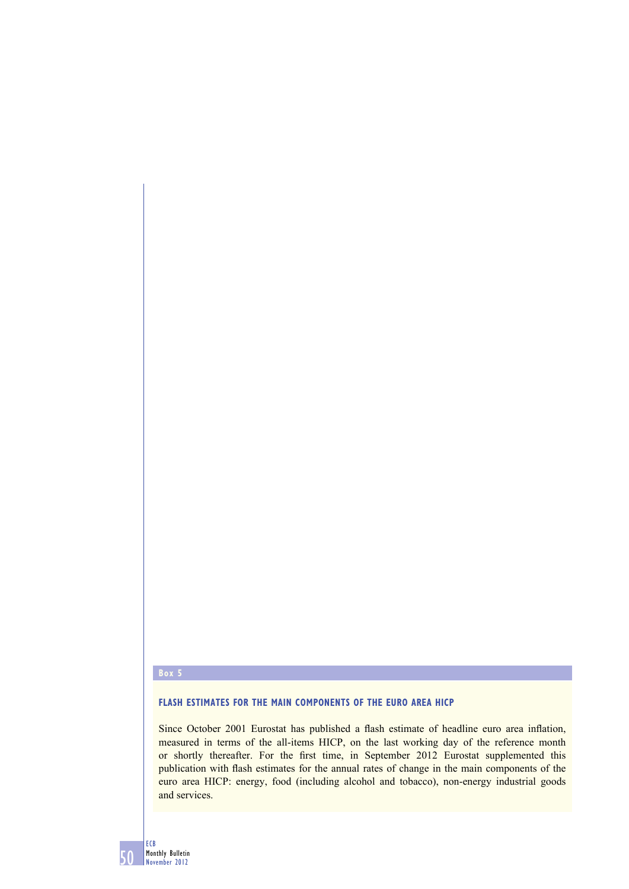#### **Box 5**

# **FLASH ESTIMATES FOR THE MAIN COMPONENTS OF THE EURO AREA HICP**

Since October 2001 Eurostat has published a flash estimate of headline euro area inflation, measured in terms of the all-items HICP, on the last working day of the reference month or shortly thereafter. For the first time, in September 2012 Eurostat supplemented this publication with flash estimates for the annual rates of change in the main components of the euro area HICP: energy, food (including alcohol and tobacco), non-energy industrial goods and services.

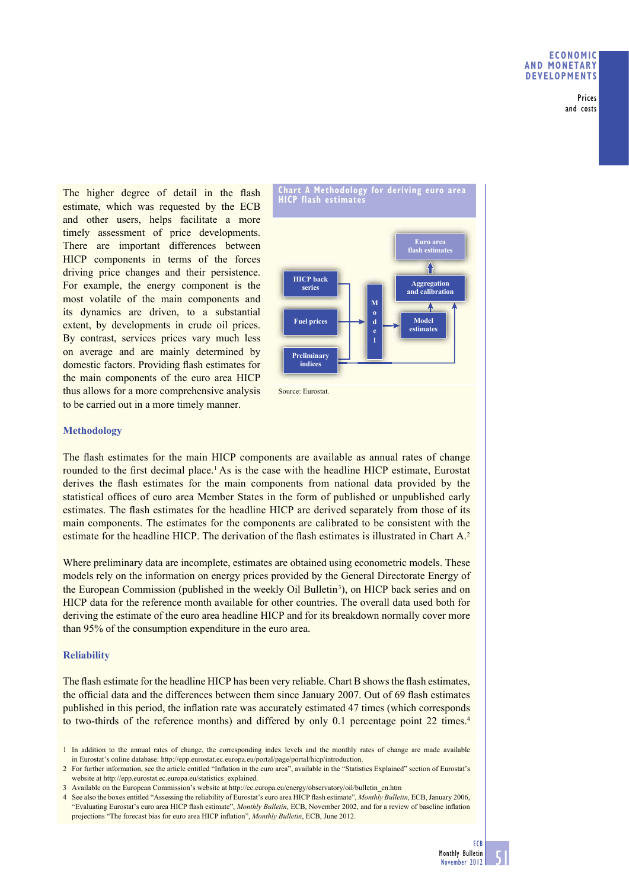Prices and costs

The higher degree of detail in the flash estimate, which was requested by the ECB and other users, helps facilitate a more timely assessment of price developments. There are important differences between HICP components in terms of the forces driving price changes and their persistence. For example, the energy component is the most volatile of the main components and its dynamics are driven, to a substantial extent, by developments in crude oil prices. By contrast, services prices vary much less on average and are mainly determined by domestic factors. Providing flash estimates for the main components of the euro area HICP thus allows for a more comprehensive analysis to be carried out in a more timely manner.





## **Methodology**

The flash estimates for the main HICP components are available as annual rates of change rounded to the first decimal place.<sup>1</sup> As is the case with the headline HICP estimate, Eurostat derives the flash estimates for the main components from national data provided by the statistical offices of euro area Member States in the form of published or unpublished early estimates. The flash estimates for the headline HICP are derived separately from those of its main components. The estimates for the components are calibrated to be consistent with the estimate for the headline HICP. The derivation of the flash estimates is illustrated in Chart A.<sup>2</sup>

Where preliminary data are incomplete, estimates are obtained using econometric models. These models rely on the information on energy prices provided by the General Directorate Energy of the European Commission (published in the weekly Oil Bulletin<sup>3</sup>), on HICP back series and on HICP data for the reference month available for other countries. The overall data used both for deriving the estimate of the euro area headline HICP and for its breakdown normally cover more than 95% of the consumption expenditure in the euro area.

## **Reliability**

The flash estimate for the headline HICP has been very reliable. Chart B shows the flash estimates, the official data and the differences between them since January 2007. Out of 69 flash estimates published in this period, the inflation rate was accurately estimated 47 times (which corresponds to two-thirds of the reference months) and differed by only 0.1 percentage point 22 times.<sup>4</sup>

<sup>4</sup> See also the boxes entitled "Assessing the reliability of Eurostat's euro area HICP flash estimate", *Monthly Bulletin*, ECB, January 2006, "Evaluating Eurostat's euro area HICP flash estimate", *Monthly Bulletin*, ECB, November 2002, and for a review of baseline inflation projections "The forecast bias for euro area HICP inflation", *Monthly Bulletin*, ECB, June 2012.



<sup>1</sup> In addition to the annual rates of change, the corresponding index levels and the monthly rates of change are made available in Eurostat's online database: http://epp.eurostat.ec.europa.eu/portal/page/portal/hicp/introduction.

<sup>2</sup> For further information, see the article entitled "Inflation in the euro area", available in the "Statistics Explained" section of Eurostat's website at http://epp.eurostat.ec.europa.eu/statistics\_explained.

<sup>3</sup> Available on the European Commission's website at http://ec.europa.eu/energy/observatory/oil/bulletin\_en.htm